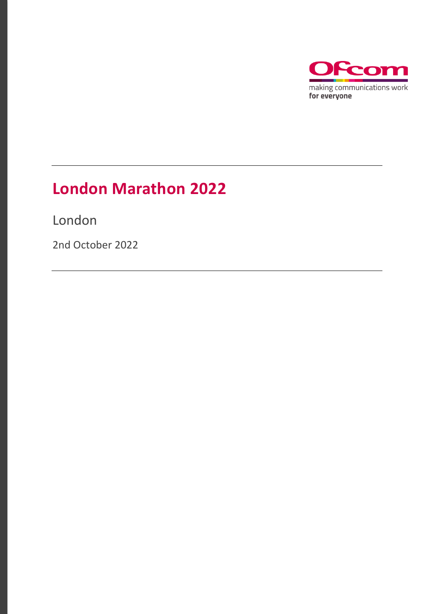

# **London Marathon 2022**

London

2nd October 2022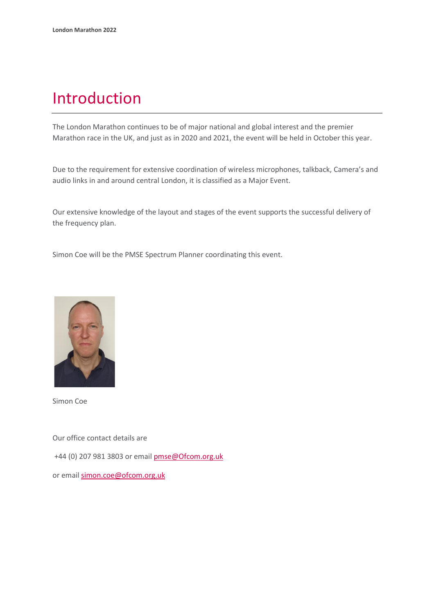## Introduction

The London Marathon continues to be of major national and global interest and the premier Marathon race in the UK, and just as in 2020 and 2021, the event will be held in October this year.

Due to the requirement for extensive coordination of wireless microphones, talkback, Camera's and audio links in and around central London, it is classified as a Major Event.

Our extensive knowledge of the layout and stages of the event supports the successful delivery of the frequency plan.

Simon Coe will be the PMSE Spectrum Planner coordinating this event.



Simon Coe

Our office contact details are

+44 (0) 207 981 3803 or emai[l pmse@Ofcom.org.uk](mailto:pmse@arqiva.com)

or email simon.coe@ofcom.org.uk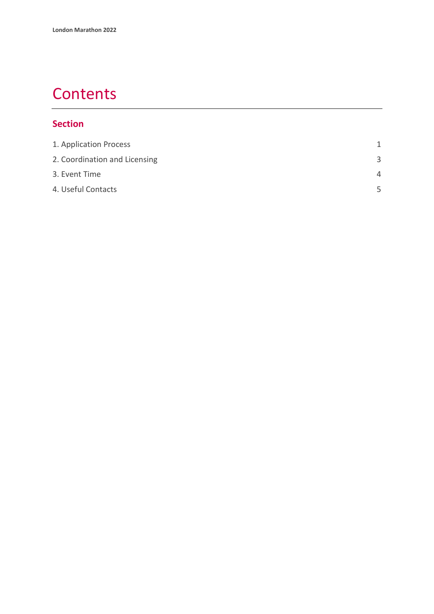# **Contents**

### **Section**

| 1. Application Process        | 1        |
|-------------------------------|----------|
| 2. Coordination and Licensing | 3        |
| 3. Event Time                 | $\Delta$ |
| 4. Useful Contacts            | 5        |
|                               |          |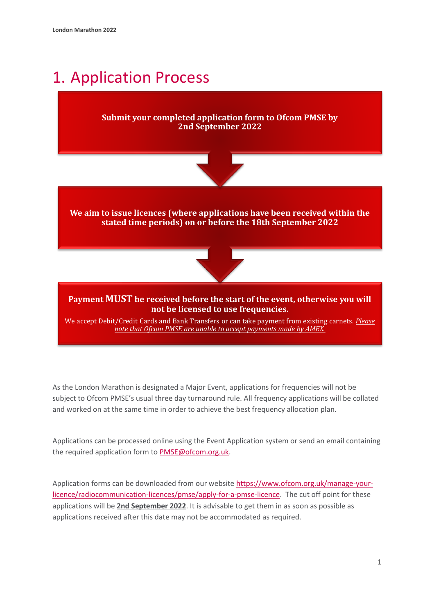# <span id="page-3-0"></span>1. Application Process

#### **Submit your completed application form to Ofcom PMSE by 2nd September 2022**



**We aim to issue licences (where applications have been received within the stated time periods) on or before the 18th September 2022**



#### **Payment MUST be received before the start of the event, otherwise you will not be licensed to use frequencies.**

We accept Debit/Credit Cards and Bank Transfers or can take payment from existing carnets. *Please note that Ofcom PMSE are unable to accept payments made by AMEX.*

As the London Marathon is designated a Major Event, applications for frequencies will not be subject to Ofcom PMSE's usual three day turnaround rule. All frequency applications will be collated and worked on at the same time in order to achieve the best frequency allocation plan.

Applications can be processed online using the Event Application system or send an email containing the required application form to PMSE@ofcom.org.uk.

Application forms can be downloaded from our website [https://www.ofcom.org.uk/manage-your](https://www.ofcom.org.uk/manage-your-licence/radiocommunication-licences/pmse/apply-for-a-pmse-licence)[licence/radiocommunication-licences/pmse/apply-for-a-pmse-licence.](https://www.ofcom.org.uk/manage-your-licence/radiocommunication-licences/pmse/apply-for-a-pmse-licence) The cut off point for these applications will be **2nd September 2022**. It is advisable to get them in as soon as possible as applications received after this date may not be accommodated as required.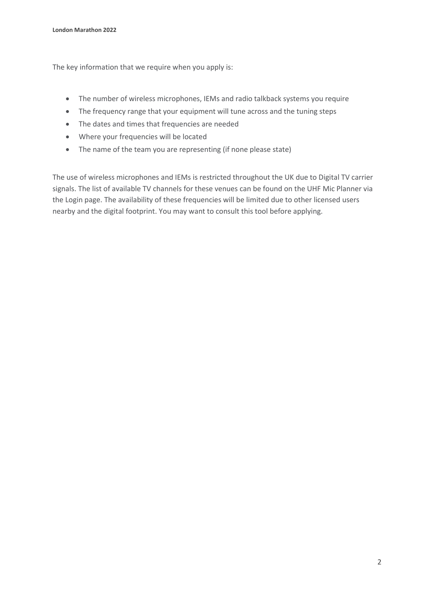The key information that we require when you apply is:

- The number of wireless microphones, IEMs and radio talkback systems you require
- The frequency range that your equipment will tune across and the tuning steps
- The dates and times that frequencies are needed
- Where your frequencies will be located
- The name of the team you are representing (if none please state)

The use of wireless microphones and IEMs is restricted throughout the UK due to Digital TV carrier signals. The list of available TV channels for these venues can be found on the UHF Mic Planner via the Login page. The availability of these frequencies will be limited due to other licensed users nearby and the digital footprint. You may want to consult this tool before applying.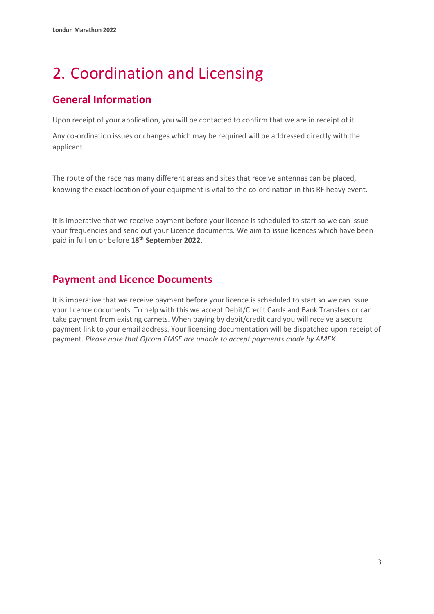# <span id="page-5-0"></span>2. Coordination and Licensing

## **General Information**

Upon receipt of your application, you will be contacted to confirm that we are in receipt of it.

Any co-ordination issues or changes which may be required will be addressed directly with the applicant.

The route of the race has many different areas and sites that receive antennas can be placed, knowing the exact location of your equipment is vital to the co-ordination in this RF heavy event.

It is imperative that we receive payment before your licence is scheduled to start so we can issue your frequencies and send out your Licence documents. We aim to issue licences which have been paid in full on or before **18 th September 2022.**

### **Payment and Licence Documents**

It is imperative that we receive payment before your licence is scheduled to start so we can issue your licence documents. To help with this we accept Debit/Credit Cards and Bank Transfers or can take payment from existing carnets. When paying by debit/credit card you will receive a secure payment link to your email address. Your licensing documentation will be dispatched upon receipt of payment. *Please note that Ofcom PMSE are unable to accept payments made by AMEX.*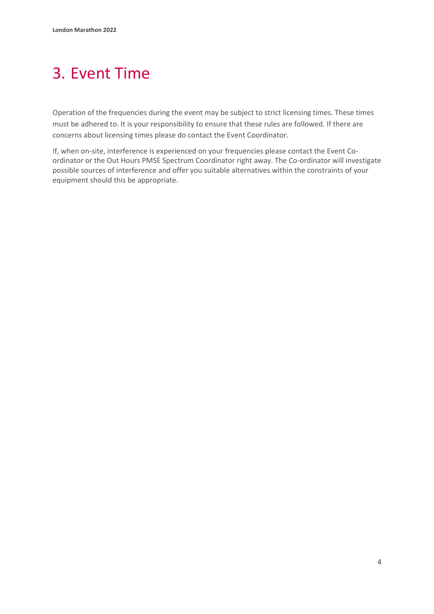# <span id="page-6-0"></span>3. Event Time

Operation of the frequencies during the event may be subject to strict licensing times. These times must be adhered to. It is your responsibility to ensure that these rules are followed. If there are concerns about licensing times please do contact the Event Coordinator.

If, when on-site, interference is experienced on your frequencies please contact the Event Coordinator or the Out Hours PMSE Spectrum Coordinator right away. The Co-ordinator will investigate possible sources of interference and offer you suitable alternatives within the constraints of your equipment should this be appropriate.